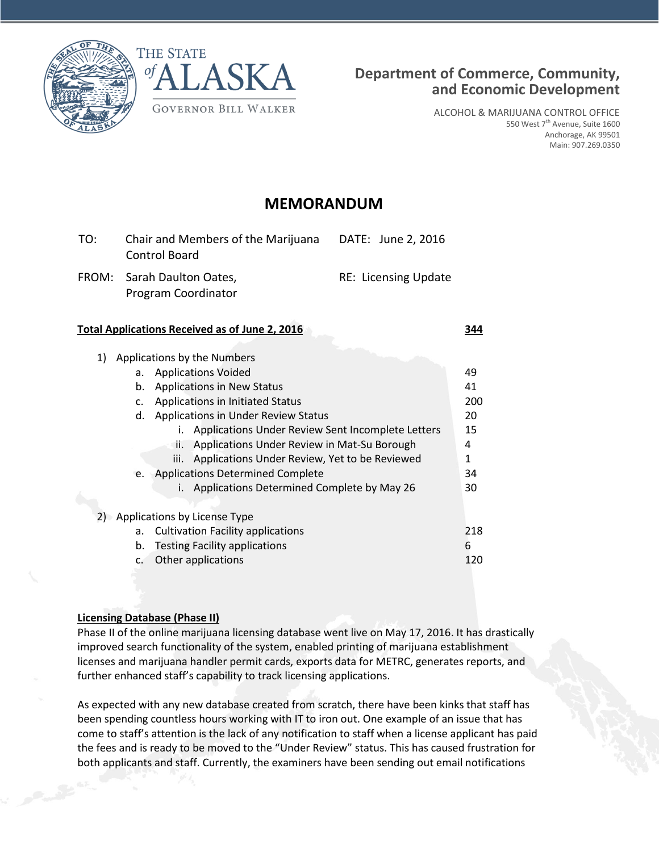



ALCOHOL & MARIJUANA CONTROL OFFICE 550 West 7<sup>th</sup> Avenue, Suite 1600 Anchorage, AK 99501 Main: 907.269.0350

# **MEMORANDUM**

| TO: | Chair and Members of the Marijuana<br>Control Board | DATE: June 2, 2016          |
|-----|-----------------------------------------------------|-----------------------------|
|     | FROM: Sarah Daulton Oates,<br>Program Coordinator   | <b>RE: Licensing Update</b> |

### **Total Applications Received as of June 2, 2016 344**

| а. | <b>Applications Voided</b>                            | 49                                                                                                 |
|----|-------------------------------------------------------|----------------------------------------------------------------------------------------------------|
| b. | <b>Applications in New Status</b>                     | 41                                                                                                 |
| c. | Applications in Initiated Status                      | 200                                                                                                |
| d. | <b>Applications in Under Review Status</b>            | 20                                                                                                 |
|    | Applications Under Review Sent Incomplete Letters     | 15                                                                                                 |
|    | Applications Under Review in Mat-Su Borough<br>ii.    | 4                                                                                                  |
|    | Applications Under Review, Yet to be Reviewed<br>iii. | 1                                                                                                  |
|    |                                                       | 34                                                                                                 |
|    | Applications Determined Complete by May 26            | 30                                                                                                 |
|    |                                                       |                                                                                                    |
|    |                                                       |                                                                                                    |
| a. | <b>Cultivation Facility applications</b>              | 218                                                                                                |
| b. | <b>Testing Facility applications</b>                  | 6                                                                                                  |
| c. | Other applications                                    | 120                                                                                                |
|    | 2)                                                    | Applications by the Numbers<br>e. Applications Determined Complete<br>Applications by License Type |

# **Licensing Database (Phase II)**

Phase II of the online marijuana licensing database went live on May 17, 2016. It has drastically improved search functionality of the system, enabled printing of marijuana establishment licenses and marijuana handler permit cards, exports data for METRC, generates reports, and further enhanced staff's capability to track licensing applications.

As expected with any new database created from scratch, there have been kinks that staff has been spending countless hours working with IT to iron out. One example of an issue that has come to staff's attention is the lack of any notification to staff when a license applicant has paid the fees and is ready to be moved to the "Under Review" status. This has caused frustration for both applicants and staff. Currently, the examiners have been sending out email notifications